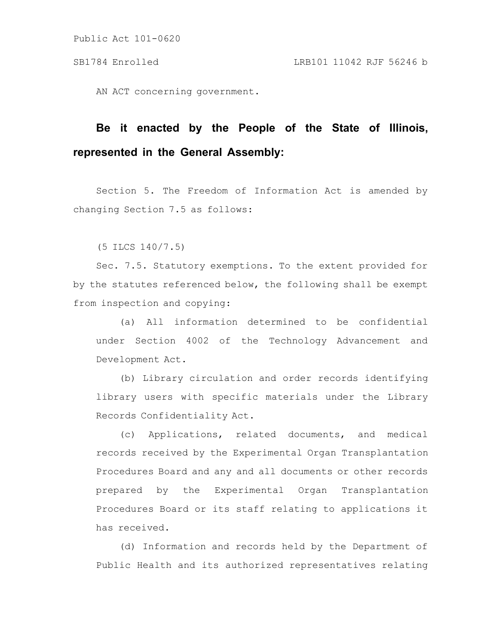AN ACT concerning government.

# **Be it enacted by the People of the State of Illinois, represented in the General Assembly:**

Section 5. The Freedom of Information Act is amended by changing Section 7.5 as follows:

(5 ILCS 140/7.5)

Sec. 7.5. Statutory exemptions. To the extent provided for by the statutes referenced below, the following shall be exempt from inspection and copying:

(a) All information determined to be confidential under Section 4002 of the Technology Advancement and Development Act.

(b) Library circulation and order records identifying library users with specific materials under the Library Records Confidentiality Act.

(c) Applications, related documents, and medical records received by the Experimental Organ Transplantation Procedures Board and any and all documents or other records prepared by the Experimental Organ Transplantation Procedures Board or its staff relating to applications it has received.

(d) Information and records held by the Department of Public Health and its authorized representatives relating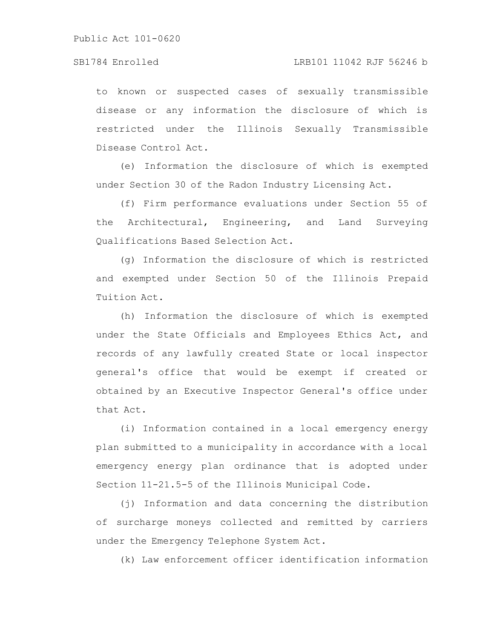to known or suspected cases of sexually transmissible disease or any information the disclosure of which is restricted under the Illinois Sexually Transmissible Disease Control Act.

(e) Information the disclosure of which is exempted under Section 30 of the Radon Industry Licensing Act.

(f) Firm performance evaluations under Section 55 of the Architectural, Engineering, and Land Surveying Qualifications Based Selection Act.

(g) Information the disclosure of which is restricted and exempted under Section 50 of the Illinois Prepaid Tuition Act.

(h) Information the disclosure of which is exempted under the State Officials and Employees Ethics Act, and records of any lawfully created State or local inspector general's office that would be exempt if created or obtained by an Executive Inspector General's office under that Act.

(i) Information contained in a local emergency energy plan submitted to a municipality in accordance with a local emergency energy plan ordinance that is adopted under Section 11-21.5-5 of the Illinois Municipal Code.

(j) Information and data concerning the distribution of surcharge moneys collected and remitted by carriers under the Emergency Telephone System Act.

(k) Law enforcement officer identification information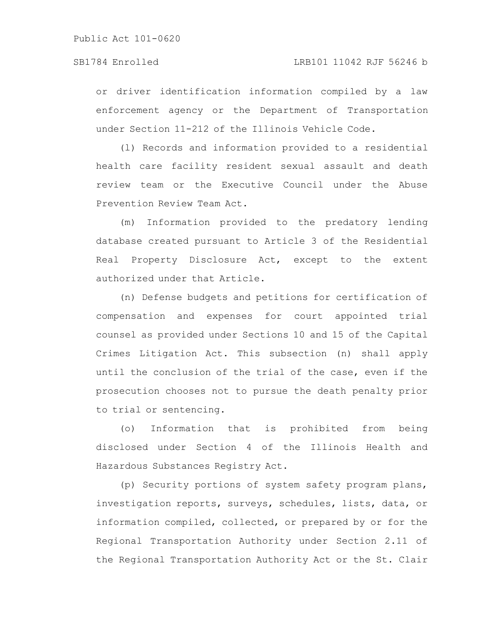### SB1784 Enrolled LRB101 11042 RJF 56246 b

or driver identification information compiled by a law enforcement agency or the Department of Transportation under Section 11-212 of the Illinois Vehicle Code.

(l) Records and information provided to a residential health care facility resident sexual assault and death review team or the Executive Council under the Abuse Prevention Review Team Act.

(m) Information provided to the predatory lending database created pursuant to Article 3 of the Residential Real Property Disclosure Act, except to the extent authorized under that Article.

(n) Defense budgets and petitions for certification of compensation and expenses for court appointed trial counsel as provided under Sections 10 and 15 of the Capital Crimes Litigation Act. This subsection (n) shall apply until the conclusion of the trial of the case, even if the prosecution chooses not to pursue the death penalty prior to trial or sentencing.

(o) Information that is prohibited from being disclosed under Section 4 of the Illinois Health and Hazardous Substances Registry Act.

(p) Security portions of system safety program plans, investigation reports, surveys, schedules, lists, data, or information compiled, collected, or prepared by or for the Regional Transportation Authority under Section 2.11 of the Regional Transportation Authority Act or the St. Clair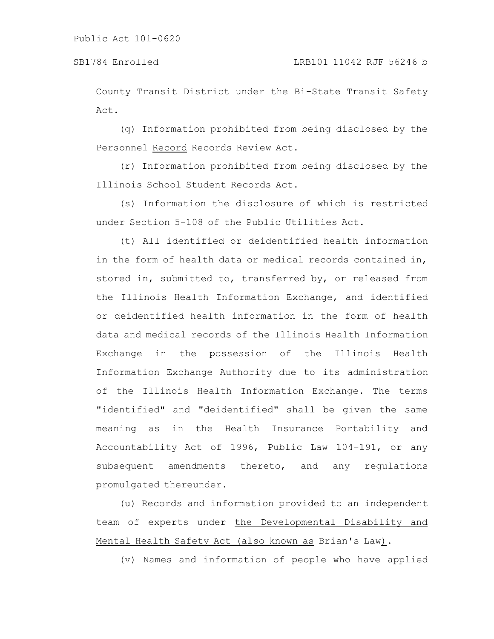County Transit District under the Bi-State Transit Safety Act.

(q) Information prohibited from being disclosed by the Personnel Record Records Review Act.

(r) Information prohibited from being disclosed by the Illinois School Student Records Act.

(s) Information the disclosure of which is restricted under Section 5-108 of the Public Utilities Act.

(t) All identified or deidentified health information in the form of health data or medical records contained in, stored in, submitted to, transferred by, or released from the Illinois Health Information Exchange, and identified or deidentified health information in the form of health data and medical records of the Illinois Health Information Exchange in the possession of the Illinois Health Information Exchange Authority due to its administration of the Illinois Health Information Exchange. The terms "identified" and "deidentified" shall be given the same meaning as in the Health Insurance Portability and Accountability Act of 1996, Public Law 104-191, or any subsequent amendments thereto, and any regulations promulgated thereunder.

(u) Records and information provided to an independent team of experts under the Developmental Disability and Mental Health Safety Act (also known as Brian's Law).

(v) Names and information of people who have applied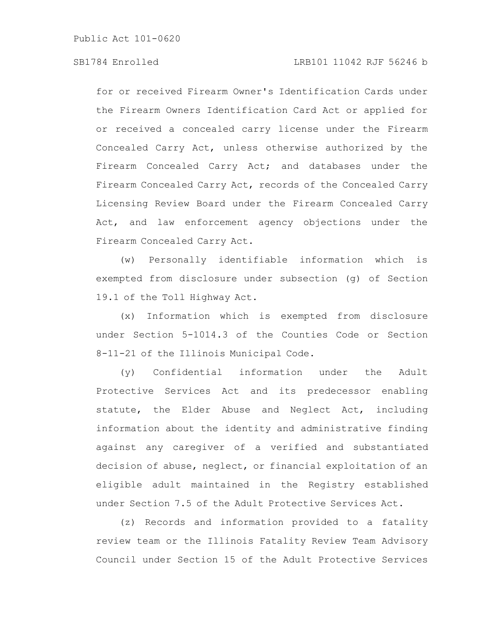# SB1784 Enrolled LRB101 11042 RJF 56246 b

for or received Firearm Owner's Identification Cards under the Firearm Owners Identification Card Act or applied for or received a concealed carry license under the Firearm Concealed Carry Act, unless otherwise authorized by the Firearm Concealed Carry Act; and databases under the Firearm Concealed Carry Act, records of the Concealed Carry Licensing Review Board under the Firearm Concealed Carry Act, and law enforcement agency objections under the Firearm Concealed Carry Act.

(w) Personally identifiable information which is exempted from disclosure under subsection (g) of Section 19.1 of the Toll Highway Act.

(x) Information which is exempted from disclosure under Section 5-1014.3 of the Counties Code or Section 8-11-21 of the Illinois Municipal Code.

(y) Confidential information under the Adult Protective Services Act and its predecessor enabling statute, the Elder Abuse and Neglect Act, including information about the identity and administrative finding against any caregiver of a verified and substantiated decision of abuse, neglect, or financial exploitation of an eligible adult maintained in the Registry established under Section 7.5 of the Adult Protective Services Act.

(z) Records and information provided to a fatality review team or the Illinois Fatality Review Team Advisory Council under Section 15 of the Adult Protective Services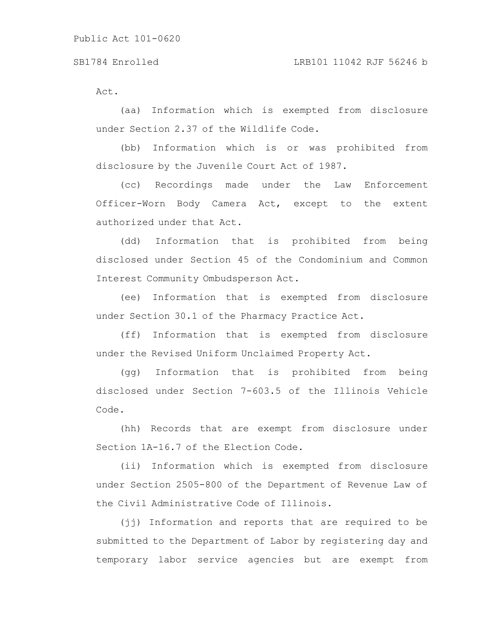Act.

(aa) Information which is exempted from disclosure under Section 2.37 of the Wildlife Code.

(bb) Information which is or was prohibited from disclosure by the Juvenile Court Act of 1987.

(cc) Recordings made under the Law Enforcement Officer-Worn Body Camera Act, except to the extent authorized under that Act.

(dd) Information that is prohibited from being disclosed under Section 45 of the Condominium and Common Interest Community Ombudsperson Act.

(ee) Information that is exempted from disclosure under Section 30.1 of the Pharmacy Practice Act.

(ff) Information that is exempted from disclosure under the Revised Uniform Unclaimed Property Act.

(gg) Information that is prohibited from being disclosed under Section 7-603.5 of the Illinois Vehicle Code.

(hh) Records that are exempt from disclosure under Section 1A-16.7 of the Election Code.

(ii) Information which is exempted from disclosure under Section 2505-800 of the Department of Revenue Law of the Civil Administrative Code of Illinois.

(jj) Information and reports that are required to be submitted to the Department of Labor by registering day and temporary labor service agencies but are exempt from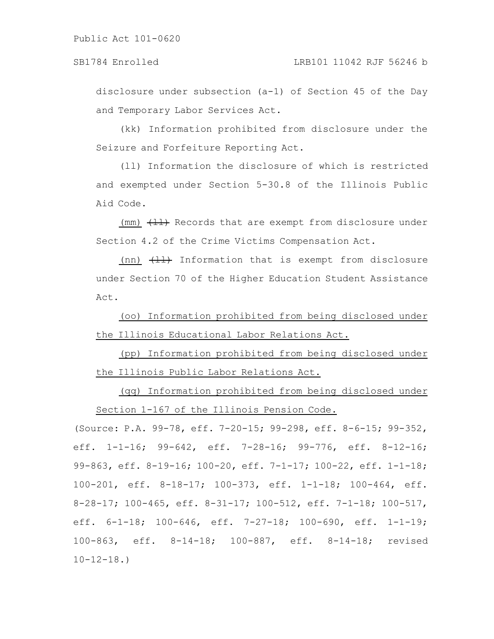# SB1784 Enrolled LRB101 11042 RJF 56246 b

disclosure under subsection (a-1) of Section 45 of the Day and Temporary Labor Services Act.

(kk) Information prohibited from disclosure under the Seizure and Forfeiture Reporting Act.

(ll) Information the disclosure of which is restricted and exempted under Section 5-30.8 of the Illinois Public Aid Code.

(mm)  $(H)$  Records that are exempt from disclosure under Section 4.2 of the Crime Victims Compensation Act.

(nn)  $\left(\frac{11}{11}\right)$  Information that is exempt from disclosure under Section 70 of the Higher Education Student Assistance Act.

(oo) Information prohibited from being disclosed under the Illinois Educational Labor Relations Act.

(pp) Information prohibited from being disclosed under the Illinois Public Labor Relations Act.

(qq) Information prohibited from being disclosed under Section 1-167 of the Illinois Pension Code.

(Source: P.A. 99-78, eff. 7-20-15; 99-298, eff. 8-6-15; 99-352, eff. 1-1-16; 99-642, eff. 7-28-16; 99-776, eff. 8-12-16; 99-863, eff. 8-19-16; 100-20, eff. 7-1-17; 100-22, eff. 1-1-18; 100-201, eff. 8-18-17; 100-373, eff. 1-1-18; 100-464, eff. 8-28-17; 100-465, eff. 8-31-17; 100-512, eff. 7-1-18; 100-517, eff. 6-1-18; 100-646, eff. 7-27-18; 100-690, eff. 1-1-19; 100-863, eff. 8-14-18; 100-887, eff. 8-14-18; revised  $10 - 12 - 18.$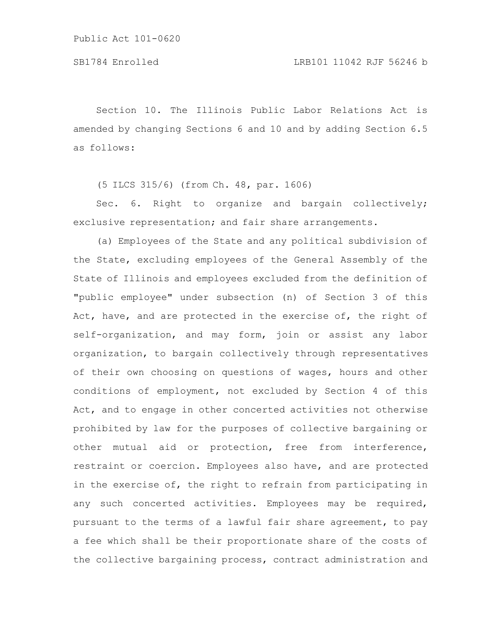Section 10. The Illinois Public Labor Relations Act is amended by changing Sections 6 and 10 and by adding Section 6.5 as follows:

(5 ILCS 315/6) (from Ch. 48, par. 1606)

Sec. 6. Right to organize and bargain collectively; exclusive representation; and fair share arrangements.

(a) Employees of the State and any political subdivision of the State, excluding employees of the General Assembly of the State of Illinois and employees excluded from the definition of "public employee" under subsection (n) of Section 3 of this Act, have, and are protected in the exercise of, the right of self-organization, and may form, join or assist any labor organization, to bargain collectively through representatives of their own choosing on questions of wages, hours and other conditions of employment, not excluded by Section 4 of this Act, and to engage in other concerted activities not otherwise prohibited by law for the purposes of collective bargaining or other mutual aid or protection, free from interference, restraint or coercion. Employees also have, and are protected in the exercise of, the right to refrain from participating in any such concerted activities. Employees may be required, pursuant to the terms of a lawful fair share agreement, to pay a fee which shall be their proportionate share of the costs of the collective bargaining process, contract administration and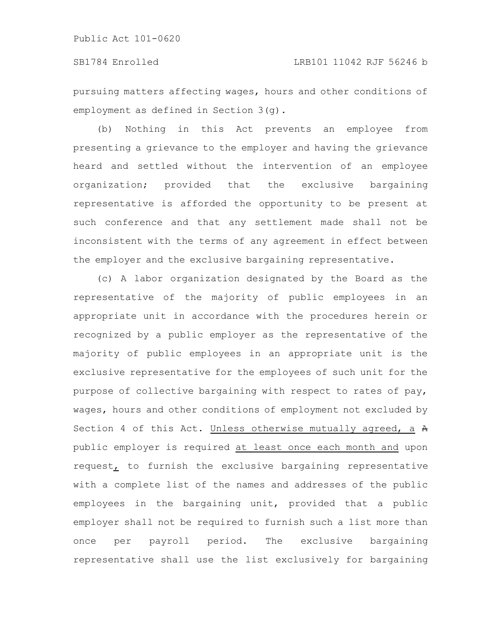### SB1784 Enrolled LRB101 11042 RJF 56246 b

pursuing matters affecting wages, hours and other conditions of employment as defined in Section 3(g).

(b) Nothing in this Act prevents an employee from presenting a grievance to the employer and having the grievance heard and settled without the intervention of an employee organization; provided that the exclusive bargaining representative is afforded the opportunity to be present at such conference and that any settlement made shall not be inconsistent with the terms of any agreement in effect between the employer and the exclusive bargaining representative.

(c) A labor organization designated by the Board as the representative of the majority of public employees in an appropriate unit in accordance with the procedures herein or recognized by a public employer as the representative of the majority of public employees in an appropriate unit is the exclusive representative for the employees of such unit for the purpose of collective bargaining with respect to rates of pay, wages, hours and other conditions of employment not excluded by Section 4 of this Act. Unless otherwise mutually agreed, a  $A$ public employer is required at least once each month and upon request, to furnish the exclusive bargaining representative with a complete list of the names and addresses of the public employees in the bargaining unit, provided that a public employer shall not be required to furnish such a list more than once per payroll period. The exclusive bargaining representative shall use the list exclusively for bargaining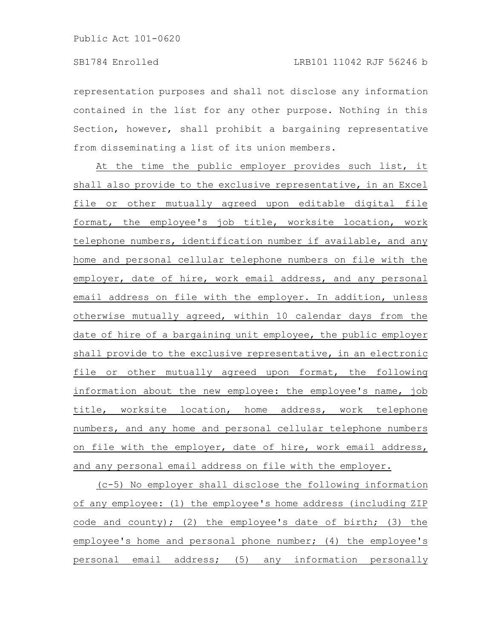representation purposes and shall not disclose any information contained in the list for any other purpose. Nothing in this Section, however, shall prohibit a bargaining representative from disseminating a list of its union members.

At the time the public employer provides such list, it shall also provide to the exclusive representative, in an Excel file or other mutually agreed upon editable digital file format, the employee's job title, worksite location, work telephone numbers, identification number if available, and any home and personal cellular telephone numbers on file with the employer, date of hire, work email address, and any personal email address on file with the employer. In addition, unless otherwise mutually agreed, within 10 calendar days from the date of hire of a bargaining unit employee, the public employer shall provide to the exclusive representative, in an electronic file or other mutually agreed upon format, the following information about the new employee: the employee's name, job title, worksite location, home address, work telephone numbers, and any home and personal cellular telephone numbers on file with the employer, date of hire, work email address, and any personal email address on file with the employer.

(c-5) No employer shall disclose the following information of any employee: (1) the employee's home address (including ZIP code and county); (2) the employee's date of birth; (3) the employee's home and personal phone number; (4) the employee's personal email address; (5) any information personally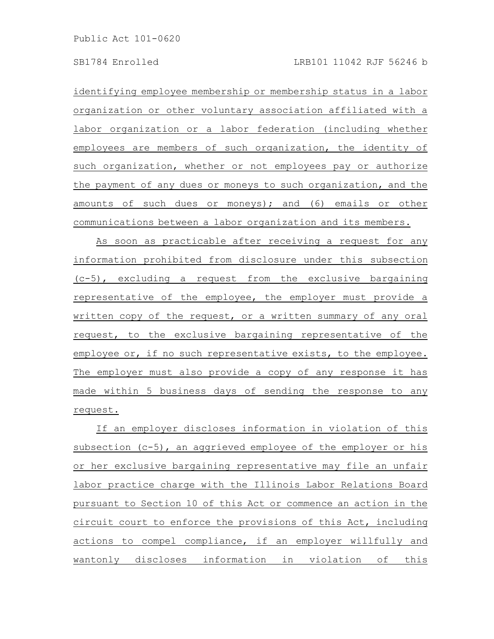identifying employee membership or membership status in a labor organization or other voluntary association affiliated with a labor organization or a labor federation (including whether employees are members of such organization, the identity of such organization, whether or not employees pay or authorize the payment of any dues or moneys to such organization, and the amounts of such dues or moneys); and (6) emails or other communications between a labor organization and its members.

As soon as practicable after receiving a request for any information prohibited from disclosure under this subsection (c-5), excluding a request from the exclusive bargaining representative of the employee, the employer must provide a written copy of the request, or a written summary of any oral request, to the exclusive bargaining representative of the employee or, if no such representative exists, to the employee. The employer must also provide a copy of any response it has made within 5 business days of sending the response to any request.

If an employer discloses information in violation of this subsection (c-5), an aggrieved employee of the employer or his or her exclusive bargaining representative may file an unfair labor practice charge with the Illinois Labor Relations Board pursuant to Section 10 of this Act or commence an action in the circuit court to enforce the provisions of this Act, including actions to compel compliance, if an employer willfully and wantonly discloses information in violation of this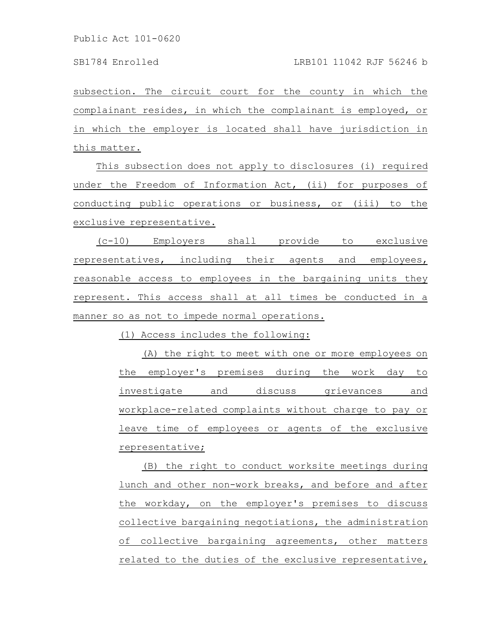subsection. The circuit court for the county in which the complainant resides, in which the complainant is employed, or in which the employer is located shall have jurisdiction in this matter.

This subsection does not apply to disclosures (i) required under the Freedom of Information Act, (ii) for purposes of conducting public operations or business, or (iii) to the exclusive representative.

(c-10) Employers shall provide to exclusive representatives, including their agents and employees, reasonable access to employees in the bargaining units they represent. This access shall at all times be conducted in a manner so as not to impede normal operations.

(1) Access includes the following:

(A) the right to meet with one or more employees on the employer's premises during the work day to investigate and discuss grievances and workplace-related complaints without charge to pay or leave time of employees or agents of the exclusive representative;

(B) the right to conduct worksite meetings during lunch and other non-work breaks, and before and after the workday, on the employer's premises to discuss collective bargaining negotiations, the administration of collective bargaining agreements, other matters related to the duties of the exclusive representative,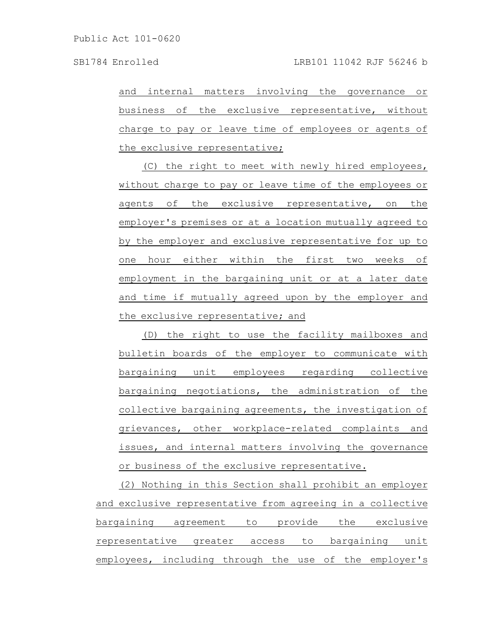and internal matters involving the governance or business of the exclusive representative, without charge to pay or leave time of employees or agents of the exclusive representative;

(C) the right to meet with newly hired employees, without charge to pay or leave time of the employees or agents of the exclusive representative, on the employer's premises or at a location mutually agreed to by the employer and exclusive representative for up to one hour either within the first two weeks of employment in the bargaining unit or at a later date and time if mutually agreed upon by the employer and the exclusive representative; and

(D) the right to use the facility mailboxes and bulletin boards of the employer to communicate with bargaining unit employees regarding collective bargaining negotiations, the administration of the collective bargaining agreements, the investigation of grievances, other workplace-related complaints and issues, and internal matters involving the governance or business of the exclusive representative.

(2) Nothing in this Section shall prohibit an employer and exclusive representative from agreeing in a collective bargaining agreement to provide the exclusive representative greater access to bargaining unit employees, including through the use of the employer's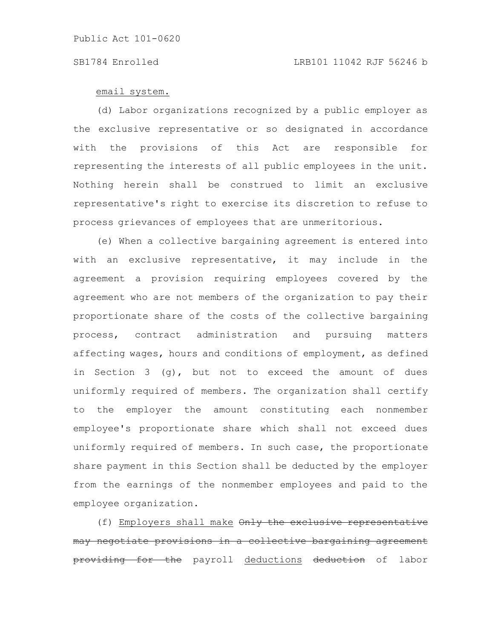### email system.

(d) Labor organizations recognized by a public employer as the exclusive representative or so designated in accordance with the provisions of this Act are responsible for representing the interests of all public employees in the unit. Nothing herein shall be construed to limit an exclusive representative's right to exercise its discretion to refuse to process grievances of employees that are unmeritorious.

(e) When a collective bargaining agreement is entered into with an exclusive representative, it may include in the agreement a provision requiring employees covered by the agreement who are not members of the organization to pay their proportionate share of the costs of the collective bargaining process, contract administration and pursuing matters affecting wages, hours and conditions of employment, as defined in Section 3 (g), but not to exceed the amount of dues uniformly required of members. The organization shall certify to the employer the amount constituting each nonmember employee's proportionate share which shall not exceed dues uniformly required of members. In such case, the proportionate share payment in this Section shall be deducted by the employer from the earnings of the nonmember employees and paid to the employee organization.

(f) Employers shall make Only the exclusive representative may negotiate provisions in a collective bargaining agreement providing for the payroll deductions deduction of labor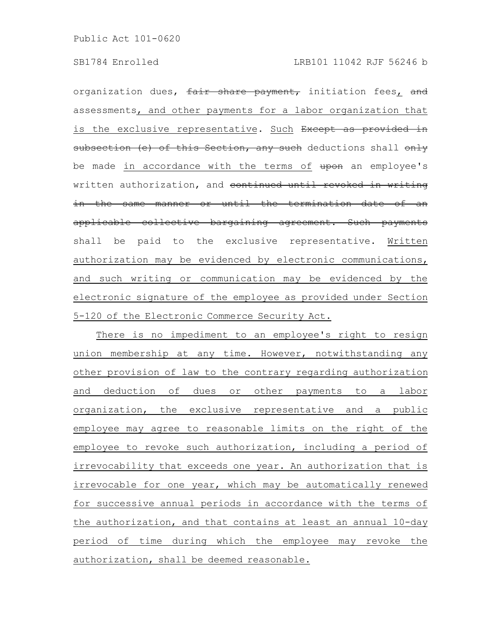organization dues, fair share payment, initiation fees, and assessments, and other payments for a labor organization that is the exclusive representative. Such Except as provided in subsection (e) of this Section, any such deductions shall only be made in accordance with the terms of upon an employee's written authorization, and continued until revoked in writing in the same manner or until the termination date of an applicable collective bargaining agreement. Such payments shall be paid to the exclusive representative. Written authorization may be evidenced by electronic communications, and such writing or communication may be evidenced by the electronic signature of the employee as provided under Section 5-120 of the Electronic Commerce Security Act.

There is no impediment to an employee's right to resign union membership at any time. However, notwithstanding any other provision of law to the contrary regarding authorization and deduction of dues or other payments to a labor organization, the exclusive representative and a public employee may agree to reasonable limits on the right of the employee to revoke such authorization, including a period of irrevocability that exceeds one year. An authorization that is irrevocable for one year, which may be automatically renewed for successive annual periods in accordance with the terms of the authorization, and that contains at least an annual 10-day period of time during which the employee may revoke the authorization, shall be deemed reasonable.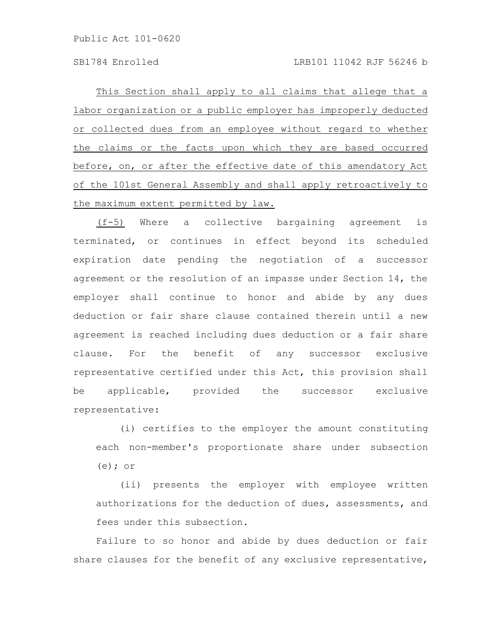This Section shall apply to all claims that allege that a labor organization or a public employer has improperly deducted or collected dues from an employee without regard to whether the claims or the facts upon which they are based occurred before, on, or after the effective date of this amendatory Act of the 101st General Assembly and shall apply retroactively to the maximum extent permitted by law.

(f-5) Where a collective bargaining agreement is terminated, or continues in effect beyond its scheduled expiration date pending the negotiation of a successor agreement or the resolution of an impasse under Section 14, the employer shall continue to honor and abide by any dues deduction or fair share clause contained therein until a new agreement is reached including dues deduction or a fair share clause. For the benefit of any successor exclusive representative certified under this Act, this provision shall be applicable, provided the successor exclusive representative:

(i) certifies to the employer the amount constituting each non-member's proportionate share under subsection (e); or

(ii) presents the employer with employee written authorizations for the deduction of dues, assessments, and fees under this subsection.

Failure to so honor and abide by dues deduction or fair share clauses for the benefit of any exclusive representative,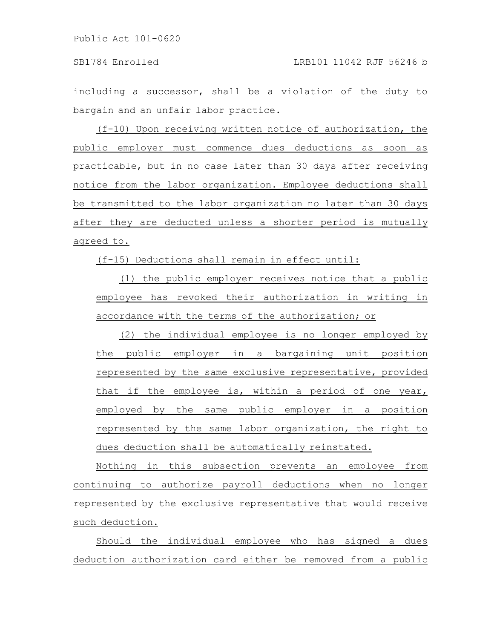including a successor, shall be a violation of the duty to bargain and an unfair labor practice.

(f-10) Upon receiving written notice of authorization, the public employer must commence dues deductions as soon as practicable, but in no case later than 30 days after receiving notice from the labor organization. Employee deductions shall be transmitted to the labor organization no later than 30 days after they are deducted unless a shorter period is mutually agreed to.

(f-15) Deductions shall remain in effect until:

(1) the public employer receives notice that a public employee has revoked their authorization in writing in accordance with the terms of the authorization; or

(2) the individual employee is no longer employed by the public employer in a bargaining unit position represented by the same exclusive representative, provided that if the employee is, within a period of one year, employed by the same public employer in a position represented by the same labor organization, the right to dues deduction shall be automatically reinstated.

Nothing in this subsection prevents an employee from continuing to authorize payroll deductions when no longer represented by the exclusive representative that would receive such deduction.

Should the individual employee who has signed a dues deduction authorization card either be removed from a public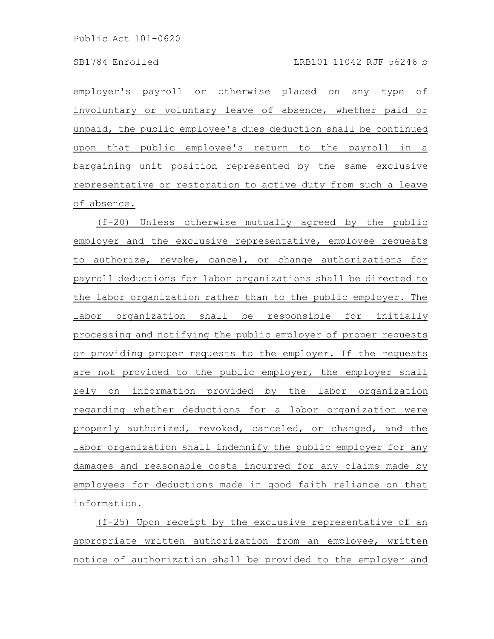employer's payroll or otherwise placed on any type of involuntary or voluntary leave of absence, whether paid or unpaid, the public employee's dues deduction shall be continued upon that public employee's return to the payroll in a bargaining unit position represented by the same exclusive representative or restoration to active duty from such a leave of absence.

(f-20) Unless otherwise mutually agreed by the public employer and the exclusive representative, employee requests to authorize, revoke, cancel, or change authorizations for payroll deductions for labor organizations shall be directed to the labor organization rather than to the public employer. The labor organization shall be responsible for initially processing and notifying the public employer of proper requests or providing proper requests to the employer. If the requests are not provided to the public employer, the employer shall rely on information provided by the labor organization regarding whether deductions for a labor organization were properly authorized, revoked, canceled, or changed, and the labor organization shall indemnify the public employer for any damages and reasonable costs incurred for any claims made by employees for deductions made in good faith reliance on that information.

(f-25) Upon receipt by the exclusive representative of an appropriate written authorization from an employee, written notice of authorization shall be provided to the employer and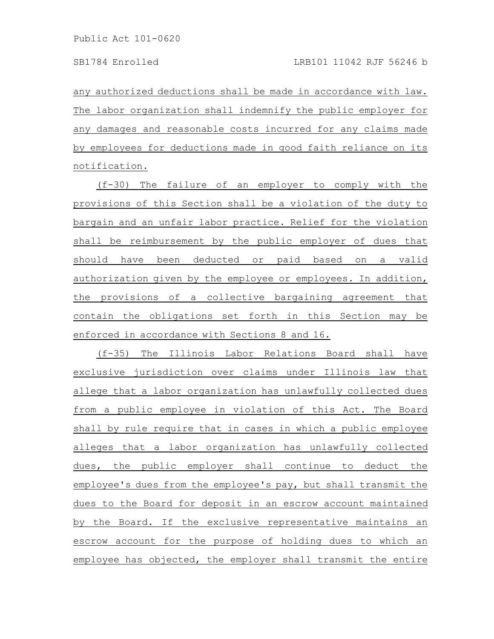any authorized deductions shall be made in accordance with law. The labor organization shall indemnify the public employer for any damages and reasonable costs incurred for any claims made by employees for deductions made in good faith reliance on its notification.

(f-30) The failure of an employer to comply with the provisions of this Section shall be a violation of the duty to bargain and an unfair labor practice. Relief for the violation shall be reimbursement by the public employer of dues that should have been deducted or paid based on a valid authorization given by the employee or employees. In addition, the provisions of a collective bargaining agreement that contain the obligations set forth in this Section may be enforced in accordance with Sections 8 and 16.

(f-35) The Illinois Labor Relations Board shall have exclusive jurisdiction over claims under Illinois law that allege that a labor organization has unlawfully collected dues from a public employee in violation of this Act. The Board shall by rule require that in cases in which a public employee alleges that a labor organization has unlawfully collected dues, the public employer shall continue to deduct the employee's dues from the employee's pay, but shall transmit the dues to the Board for deposit in an escrow account maintained by the Board. If the exclusive representative maintains an escrow account for the purpose of holding dues to which an employee has objected, the employer shall transmit the entire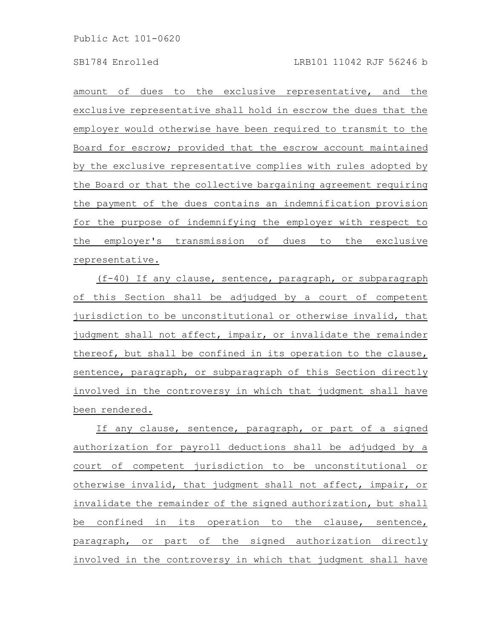amount of dues to the exclusive representative, and the exclusive representative shall hold in escrow the dues that the employer would otherwise have been required to transmit to the Board for escrow; provided that the escrow account maintained by the exclusive representative complies with rules adopted by the Board or that the collective bargaining agreement requiring the payment of the dues contains an indemnification provision for the purpose of indemnifying the employer with respect to the employer's transmission of dues to the exclusive representative.

(f-40) If any clause, sentence, paragraph, or subparagraph of this Section shall be adjudged by a court of competent jurisdiction to be unconstitutional or otherwise invalid, that judgment shall not affect, impair, or invalidate the remainder thereof, but shall be confined in its operation to the clause, sentence, paragraph, or subparagraph of this Section directly involved in the controversy in which that judgment shall have been rendered.

If any clause, sentence, paragraph, or part of a signed authorization for payroll deductions shall be adjudged by a court of competent jurisdiction to be unconstitutional or otherwise invalid, that judgment shall not affect, impair, or invalidate the remainder of the signed authorization, but shall be confined in its operation to the clause, sentence, paragraph, or part of the signed authorization directly involved in the controversy in which that judgment shall have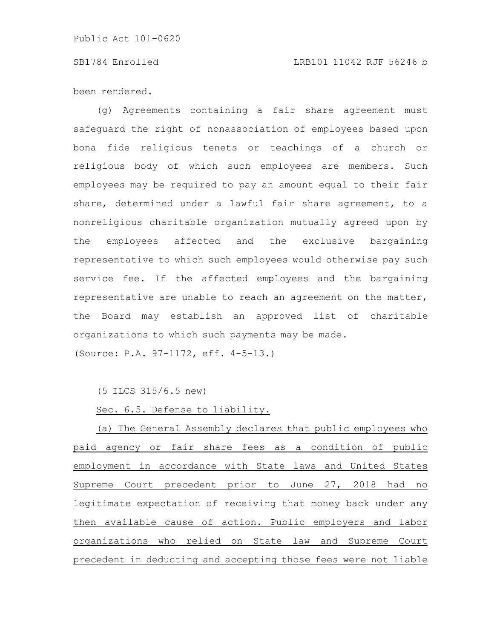### SB1784 Enrolled LRB101 11042 RJF 56246 b

### been rendered.

(g) Agreements containing a fair share agreement must safeguard the right of nonassociation of employees based upon bona fide religious tenets or teachings of a church or religious body of which such employees are members. Such employees may be required to pay an amount equal to their fair share, determined under a lawful fair share agreement, to a nonreligious charitable organization mutually agreed upon by the employees affected and the exclusive bargaining representative to which such employees would otherwise pay such service fee. If the affected employees and the bargaining representative are unable to reach an agreement on the matter, the Board may establish an approved list of charitable organizations to which such payments may be made. (Source: P.A. 97-1172, eff. 4-5-13.)

(5 ILCS 315/6.5 new)

Sec. 6.5. Defense to liability.

(a) The General Assembly declares that public employees who paid agency or fair share fees as a condition of public employment in accordance with State laws and United States Supreme Court precedent prior to June 27, 2018 had no legitimate expectation of receiving that money back under any then available cause of action. Public employers and labor organizations who relied on State law and Supreme Court precedent in deducting and accepting those fees were not liable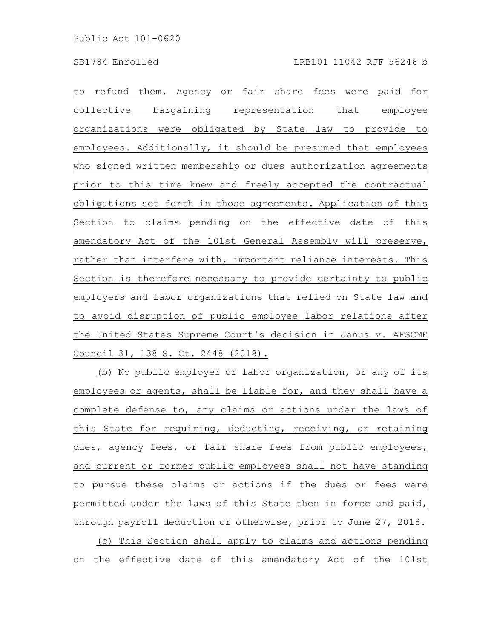to refund them. Agency or fair share fees were paid for collective bargaining representation that employee organizations were obligated by State law to provide to employees. Additionally, it should be presumed that employees who signed written membership or dues authorization agreements prior to this time knew and freely accepted the contractual obligations set forth in those agreements. Application of this Section to claims pending on the effective date of this amendatory Act of the 101st General Assembly will preserve, rather than interfere with, important reliance interests. This Section is therefore necessary to provide certainty to public employers and labor organizations that relied on State law and to avoid disruption of public employee labor relations after the United States Supreme Court's decision in Janus v. AFSCME Council 31, 138 S. Ct. 2448 (2018).

(b) No public employer or labor organization, or any of its employees or agents, shall be liable for, and they shall have a complete defense to, any claims or actions under the laws of this State for requiring, deducting, receiving, or retaining dues, agency fees, or fair share fees from public employees, and current or former public employees shall not have standing to pursue these claims or actions if the dues or fees were permitted under the laws of this State then in force and paid, through payroll deduction or otherwise, prior to June 27, 2018. (c) This Section shall apply to claims and actions pending on the effective date of this amendatory Act of the 101st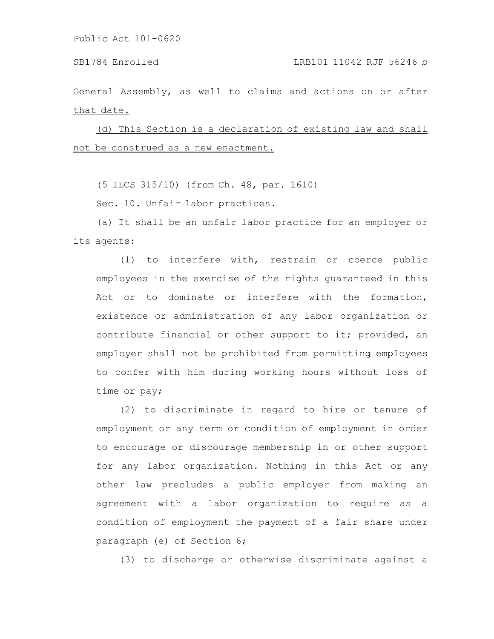General Assembly, as well to claims and actions on or after that date.

(d) This Section is a declaration of existing law and shall not be construed as a new enactment.

(5 ILCS 315/10) (from Ch. 48, par. 1610)

Sec. 10. Unfair labor practices.

(a) It shall be an unfair labor practice for an employer or its agents:

(1) to interfere with, restrain or coerce public employees in the exercise of the rights guaranteed in this Act or to dominate or interfere with the formation, existence or administration of any labor organization or contribute financial or other support to it; provided, an employer shall not be prohibited from permitting employees to confer with him during working hours without loss of time or pay;

(2) to discriminate in regard to hire or tenure of employment or any term or condition of employment in order to encourage or discourage membership in or other support for any labor organization. Nothing in this Act or any other law precludes a public employer from making an agreement with a labor organization to require as a condition of employment the payment of a fair share under paragraph (e) of Section 6;

(3) to discharge or otherwise discriminate against a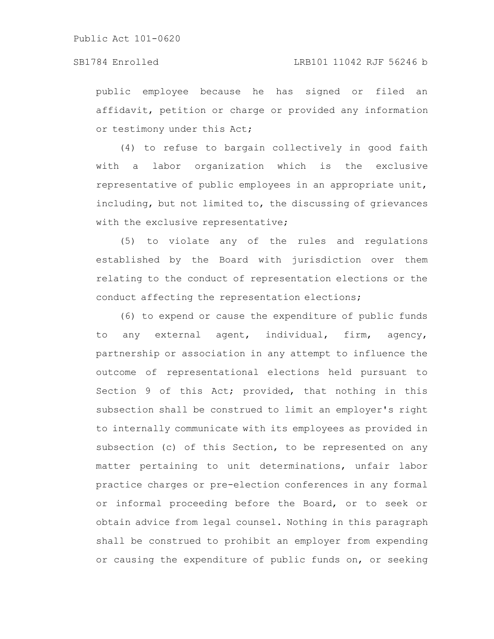public employee because he has signed or filed an affidavit, petition or charge or provided any information or testimony under this Act;

(4) to refuse to bargain collectively in good faith with a labor organization which is the exclusive representative of public employees in an appropriate unit, including, but not limited to, the discussing of grievances with the exclusive representative;

(5) to violate any of the rules and regulations established by the Board with jurisdiction over them relating to the conduct of representation elections or the conduct affecting the representation elections;

(6) to expend or cause the expenditure of public funds to any external agent, individual, firm, agency, partnership or association in any attempt to influence the outcome of representational elections held pursuant to Section 9 of this Act; provided, that nothing in this subsection shall be construed to limit an employer's right to internally communicate with its employees as provided in subsection (c) of this Section, to be represented on any matter pertaining to unit determinations, unfair labor practice charges or pre-election conferences in any formal or informal proceeding before the Board, or to seek or obtain advice from legal counsel. Nothing in this paragraph shall be construed to prohibit an employer from expending or causing the expenditure of public funds on, or seeking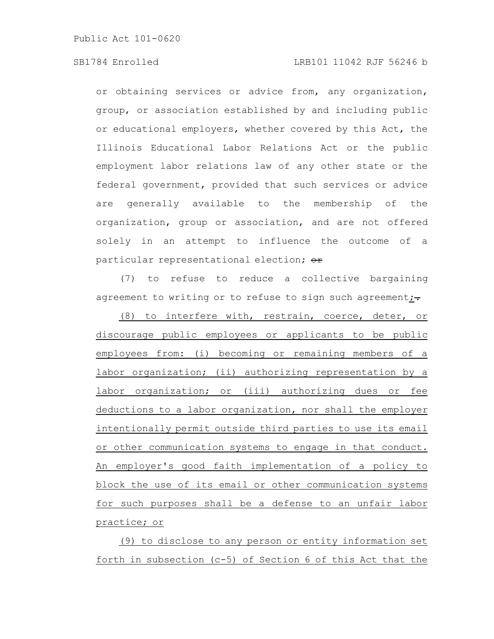# SB1784 Enrolled LRB101 11042 RJF 56246 b

or obtaining services or advice from, any organization, group, or association established by and including public or educational employers, whether covered by this Act, the Illinois Educational Labor Relations Act or the public employment labor relations law of any other state or the federal government, provided that such services or advice are generally available to the membership of the organization, group or association, and are not offered solely in an attempt to influence the outcome of a particular representational election; or

(7) to refuse to reduce a collective bargaining agreement to writing or to refuse to sign such agreement; $\div$ 

(8) to interfere with, restrain, coerce, deter, or discourage public employees or applicants to be public employees from: (i) becoming or remaining members of a labor organization; (ii) authorizing representation by a labor organization; or (iii) authorizing dues or fee deductions to a labor organization, nor shall the employer intentionally permit outside third parties to use its email or other communication systems to engage in that conduct. An employer's good faith implementation of a policy to block the use of its email or other communication systems for such purposes shall be a defense to an unfair labor practice; or

(9) to disclose to any person or entity information set forth in subsection (c-5) of Section 6 of this Act that the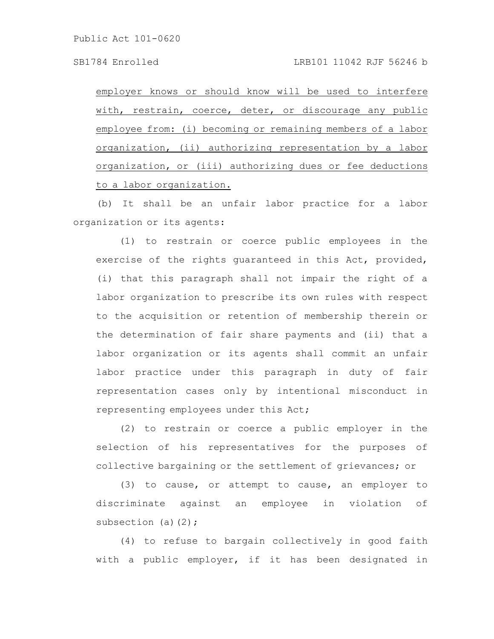employer knows or should know will be used to interfere with, restrain, coerce, deter, or discourage any public employee from: (i) becoming or remaining members of a labor organization, (ii) authorizing representation by a labor organization, or (iii) authorizing dues or fee deductions to a labor organization.

(b) It shall be an unfair labor practice for a labor organization or its agents:

(1) to restrain or coerce public employees in the exercise of the rights guaranteed in this Act, provided, (i) that this paragraph shall not impair the right of a labor organization to prescribe its own rules with respect to the acquisition or retention of membership therein or the determination of fair share payments and (ii) that a labor organization or its agents shall commit an unfair labor practice under this paragraph in duty of fair representation cases only by intentional misconduct in representing employees under this Act;

(2) to restrain or coerce a public employer in the selection of his representatives for the purposes of collective bargaining or the settlement of grievances; or

(3) to cause, or attempt to cause, an employer to discriminate against an employee in violation of subsection (a) $(2)$ ;

(4) to refuse to bargain collectively in good faith with a public employer, if it has been designated in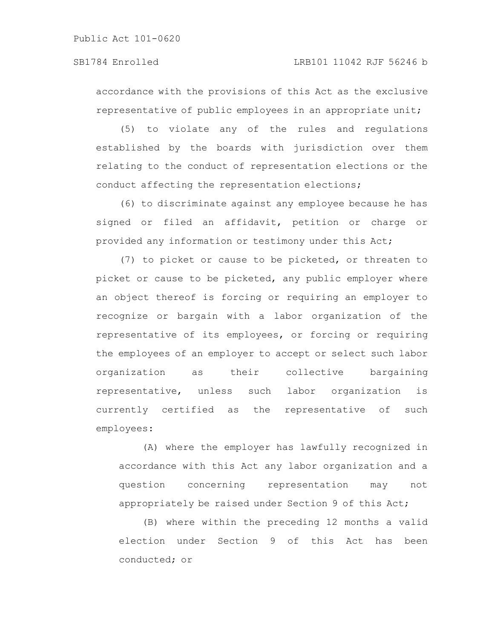# SB1784 Enrolled LRB101 11042 RJF 56246 b

accordance with the provisions of this Act as the exclusive representative of public employees in an appropriate unit;

(5) to violate any of the rules and regulations established by the boards with jurisdiction over them relating to the conduct of representation elections or the conduct affecting the representation elections;

(6) to discriminate against any employee because he has signed or filed an affidavit, petition or charge or provided any information or testimony under this Act;

(7) to picket or cause to be picketed, or threaten to picket or cause to be picketed, any public employer where an object thereof is forcing or requiring an employer to recognize or bargain with a labor organization of the representative of its employees, or forcing or requiring the employees of an employer to accept or select such labor organization as their collective bargaining representative, unless such labor organization is currently certified as the representative of such employees:

(A) where the employer has lawfully recognized in accordance with this Act any labor organization and a question concerning representation may not appropriately be raised under Section 9 of this Act;

(B) where within the preceding 12 months a valid election under Section 9 of this Act has been conducted; or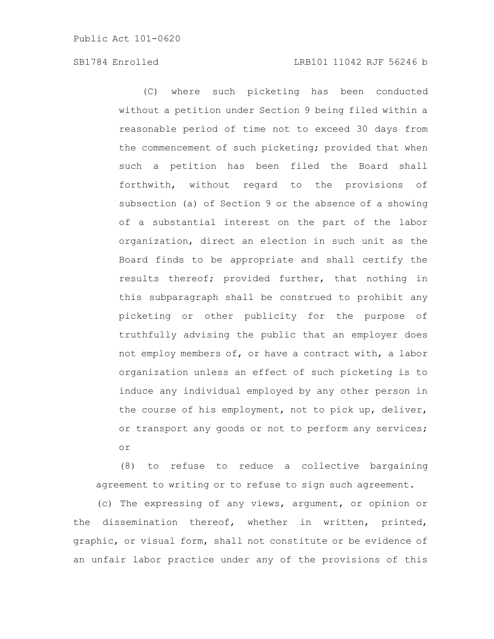# SB1784 Enrolled LRB101 11042 RJF 56246 b

(C) where such picketing has been conducted without a petition under Section 9 being filed within a reasonable period of time not to exceed 30 days from the commencement of such picketing; provided that when such a petition has been filed the Board shall forthwith, without regard to the provisions of subsection (a) of Section 9 or the absence of a showing of a substantial interest on the part of the labor organization, direct an election in such unit as the Board finds to be appropriate and shall certify the results thereof; provided further, that nothing in this subparagraph shall be construed to prohibit any picketing or other publicity for the purpose of truthfully advising the public that an employer does not employ members of, or have a contract with, a labor organization unless an effect of such picketing is to induce any individual employed by any other person in the course of his employment, not to pick up, deliver, or transport any goods or not to perform any services; or

(8) to refuse to reduce a collective bargaining agreement to writing or to refuse to sign such agreement.

(c) The expressing of any views, argument, or opinion or the dissemination thereof, whether in written, printed, graphic, or visual form, shall not constitute or be evidence of an unfair labor practice under any of the provisions of this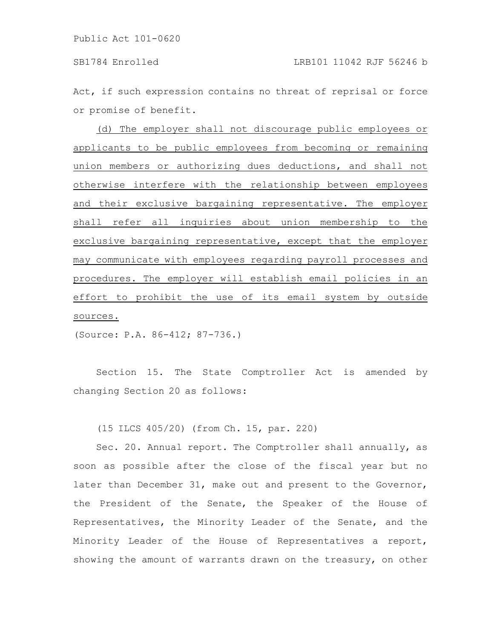Act, if such expression contains no threat of reprisal or force or promise of benefit.

(d) The employer shall not discourage public employees or applicants to be public employees from becoming or remaining union members or authorizing dues deductions, and shall not otherwise interfere with the relationship between employees and their exclusive bargaining representative. The employer shall refer all inquiries about union membership to the exclusive bargaining representative, except that the employer may communicate with employees regarding payroll processes and procedures. The employer will establish email policies in an effort to prohibit the use of its email system by outside sources.

(Source: P.A. 86-412; 87-736.)

Section 15. The State Comptroller Act is amended by changing Section 20 as follows:

(15 ILCS 405/20) (from Ch. 15, par. 220)

Sec. 20. Annual report. The Comptroller shall annually, as soon as possible after the close of the fiscal year but no later than December 31, make out and present to the Governor, the President of the Senate, the Speaker of the House of Representatives, the Minority Leader of the Senate, and the Minority Leader of the House of Representatives a report, showing the amount of warrants drawn on the treasury, on other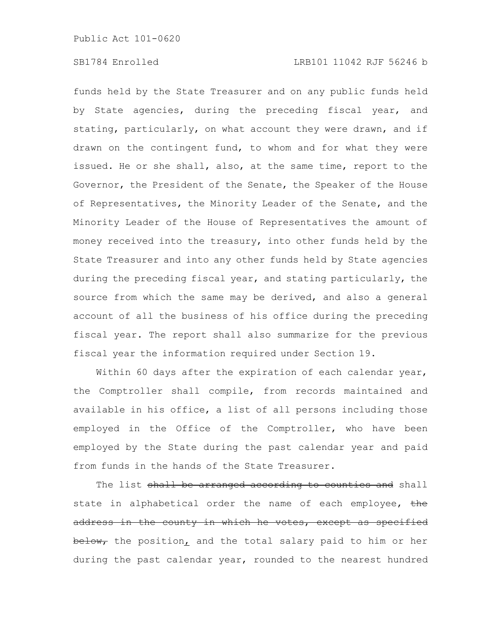# SB1784 Enrolled LRB101 11042 RJF 56246 b

funds held by the State Treasurer and on any public funds held by State agencies, during the preceding fiscal year, and stating, particularly, on what account they were drawn, and if drawn on the contingent fund, to whom and for what they were issued. He or she shall, also, at the same time, report to the Governor, the President of the Senate, the Speaker of the House of Representatives, the Minority Leader of the Senate, and the Minority Leader of the House of Representatives the amount of money received into the treasury, into other funds held by the State Treasurer and into any other funds held by State agencies during the preceding fiscal year, and stating particularly, the source from which the same may be derived, and also a general account of all the business of his office during the preceding fiscal year. The report shall also summarize for the previous fiscal year the information required under Section 19.

Within 60 days after the expiration of each calendar year, the Comptroller shall compile, from records maintained and available in his office, a list of all persons including those employed in the Office of the Comptroller, who have been employed by the State during the past calendar year and paid from funds in the hands of the State Treasurer.

The list <del>shall be arranged according to counties and</del> shall state in alphabetical order the name of each employee, the address in the county in which he votes, except as specified below, the position, and the total salary paid to him or her during the past calendar year, rounded to the nearest hundred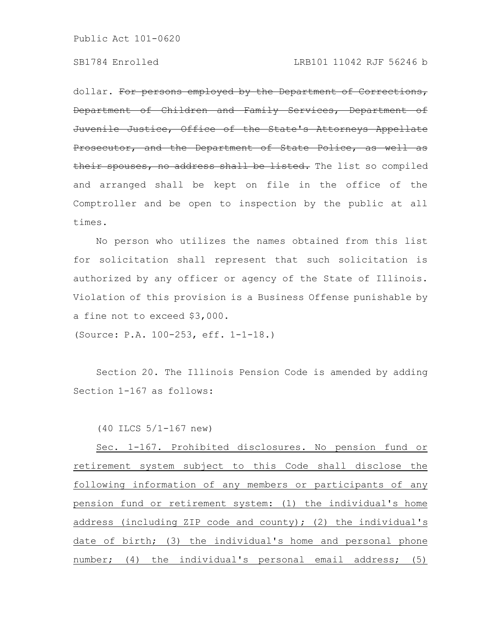dollar. For persons employed by the Department of Corrections, Department of Children and Family Services, Department of Juvenile Justice, Office of the State's Attorneys Appellate Prosecutor, and the Department of State Police, their spouses, no address shall be listed. The list so compiled and arranged shall be kept on file in the office of the Comptroller and be open to inspection by the public at all times.

No person who utilizes the names obtained from this list for solicitation shall represent that such solicitation is authorized by any officer or agency of the State of Illinois. Violation of this provision is a Business Offense punishable by a fine not to exceed \$3,000.

(Source: P.A. 100-253, eff. 1-1-18.)

Section 20. The Illinois Pension Code is amended by adding Section 1-167 as follows:

(40 ILCS 5/1-167 new)

Sec. 1-167. Prohibited disclosures. No pension fund or retirement system subject to this Code shall disclose the following information of any members or participants of any pension fund or retirement system: (1) the individual's home address (including ZIP code and county); (2) the individual's date of birth; (3) the individual's home and personal phone number; (4) the individual's personal email address; (5)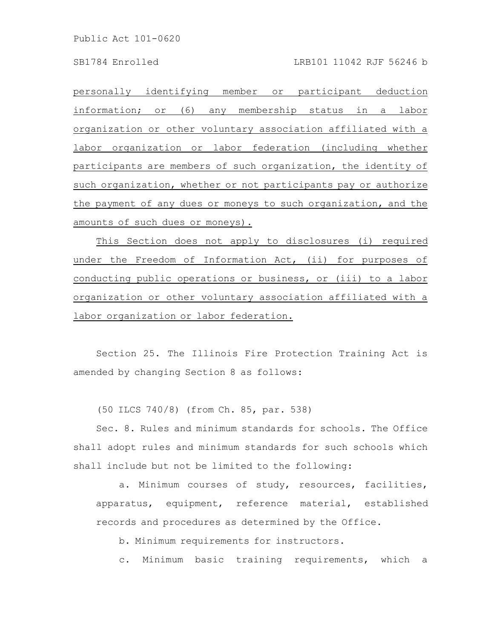### SB1784 Enrolled LRB101 11042 RJF 56246 b

personally identifying member or participant deduction information; or (6) any membership status in a labor organization or other voluntary association affiliated with a labor organization or labor federation (including whether participants are members of such organization, the identity of such organization, whether or not participants pay or authorize the payment of any dues or moneys to such organization, and the amounts of such dues or moneys).

This Section does not apply to disclosures (i) required under the Freedom of Information Act, (ii) for purposes of conducting public operations or business, or (iii) to a labor organization or other voluntary association affiliated with a labor organization or labor federation.

Section 25. The Illinois Fire Protection Training Act is amended by changing Section 8 as follows:

(50 ILCS 740/8) (from Ch. 85, par. 538)

Sec. 8. Rules and minimum standards for schools. The Office shall adopt rules and minimum standards for such schools which shall include but not be limited to the following:

a. Minimum courses of study, resources, facilities, apparatus, equipment, reference material, established records and procedures as determined by the Office.

b. Minimum requirements for instructors.

c. Minimum basic training requirements, which a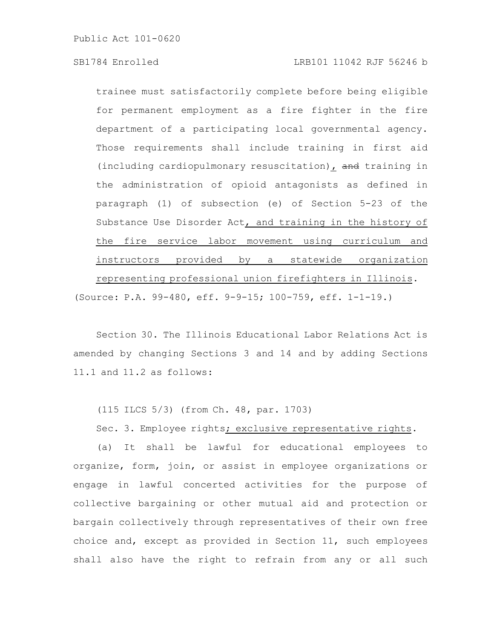trainee must satisfactorily complete before being eligible for permanent employment as a fire fighter in the fire department of a participating local governmental agency. Those requirements shall include training in first aid (including cardiopulmonary resuscitation), and training in the administration of opioid antagonists as defined in paragraph (1) of subsection (e) of Section 5-23 of the Substance Use Disorder Act, and training in the history of the fire service labor movement using curriculum and instructors provided by a statewide organization representing professional union firefighters in Illinois. (Source: P.A. 99-480, eff. 9-9-15; 100-759, eff. 1-1-19.)

Section 30. The Illinois Educational Labor Relations Act is amended by changing Sections 3 and 14 and by adding Sections 11.1 and 11.2 as follows:

(115 ILCS 5/3) (from Ch. 48, par. 1703)

Sec. 3. Employee rights; exclusive representative rights.

(a) It shall be lawful for educational employees to organize, form, join, or assist in employee organizations or engage in lawful concerted activities for the purpose of collective bargaining or other mutual aid and protection or bargain collectively through representatives of their own free choice and, except as provided in Section 11, such employees shall also have the right to refrain from any or all such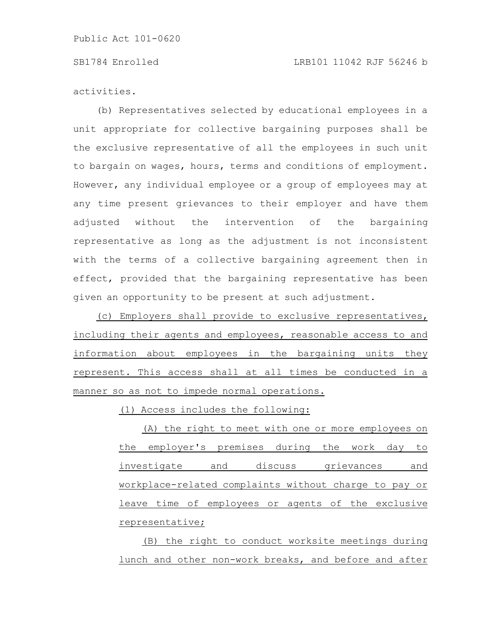### SB1784 Enrolled LRB101 11042 RJF 56246 b

activities.

(b) Representatives selected by educational employees in a unit appropriate for collective bargaining purposes shall be the exclusive representative of all the employees in such unit to bargain on wages, hours, terms and conditions of employment. However, any individual employee or a group of employees may at any time present grievances to their employer and have them adjusted without the intervention of the bargaining representative as long as the adjustment is not inconsistent with the terms of a collective bargaining agreement then in effect, provided that the bargaining representative has been given an opportunity to be present at such adjustment.

(c) Employers shall provide to exclusive representatives, including their agents and employees, reasonable access to and information about employees in the bargaining units they represent. This access shall at all times be conducted in a manner so as not to impede normal operations.

(1) Access includes the following:

(A) the right to meet with one or more employees on the employer's premises during the work day to investigate and discuss grievances and workplace-related complaints without charge to pay or leave time of employees or agents of the exclusive representative;

(B) the right to conduct worksite meetings during lunch and other non-work breaks, and before and after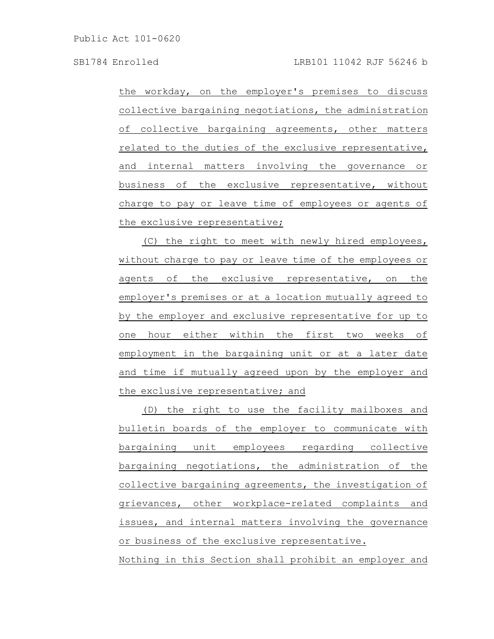the workday, on the employer's premises to discuss collective bargaining negotiations, the administration of collective bargaining agreements, other matters related to the duties of the exclusive representative, and internal matters involving the governance or business of the exclusive representative, without charge to pay or leave time of employees or agents of the exclusive representative;

(C) the right to meet with newly hired employees, without charge to pay or leave time of the employees or agents of the exclusive representative, on the employer's premises or at a location mutually agreed to by the employer and exclusive representative for up to one hour either within the first two weeks of employment in the bargaining unit or at a later date and time if mutually agreed upon by the employer and the exclusive representative; and

(D) the right to use the facility mailboxes and bulletin boards of the employer to communicate with bargaining unit employees regarding collective bargaining negotiations, the administration of the collective bargaining agreements, the investigation of grievances, other workplace-related complaints and issues, and internal matters involving the governance or business of the exclusive representative. Nothing in this Section shall prohibit an employer and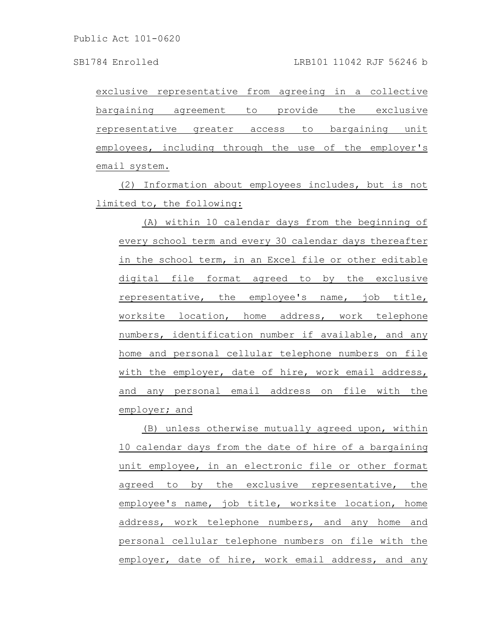exclusive representative from agreeing in a collective bargaining agreement to provide the exclusive representative greater access to bargaining unit employees, including through the use of the employer's email system.

(2) Information about employees includes, but is not limited to, the following:

(A) within 10 calendar days from the beginning of every school term and every 30 calendar days thereafter in the school term, in an Excel file or other editable digital file format agreed to by the exclusive representative, the employee's name, job title, worksite location, home address, work telephone numbers, identification number if available, and any home and personal cellular telephone numbers on file with the employer, date of hire, work email address, and any personal email address on file with the employer; and

(B) unless otherwise mutually agreed upon, within 10 calendar days from the date of hire of a bargaining unit employee, in an electronic file or other format agreed to by the exclusive representative, the employee's name, job title, worksite location, home address, work telephone numbers, and any home and personal cellular telephone numbers on file with the employer, date of hire, work email address, and any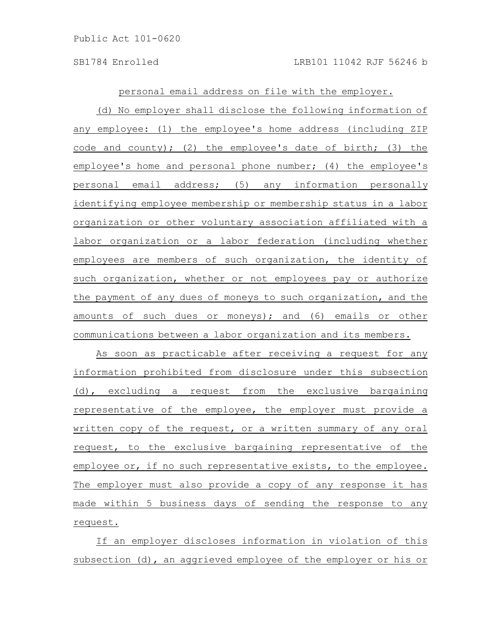personal email address on file with the employer.

(d) No employer shall disclose the following information of any employee: (1) the employee's home address (including ZIP code and county); (2) the employee's date of birth; (3) the employee's home and personal phone number; (4) the employee's personal email address; (5) any information personally identifying employee membership or membership status in a labor organization or other voluntary association affiliated with a labor organization or a labor federation (including whether employees are members of such organization, the identity of such organization, whether or not employees pay or authorize the payment of any dues of moneys to such organization, and the amounts of such dues or moneys); and (6) emails or other communications between a labor organization and its members.

As soon as practicable after receiving a request for any information prohibited from disclosure under this subsection (d), excluding a request from the exclusive bargaining representative of the employee, the employer must provide a written copy of the request, or a written summary of any oral request, to the exclusive bargaining representative of the employee or, if no such representative exists, to the employee. The employer must also provide a copy of any response it has made within 5 business days of sending the response to any request.

If an employer discloses information in violation of this subsection (d), an aggrieved employee of the employer or his or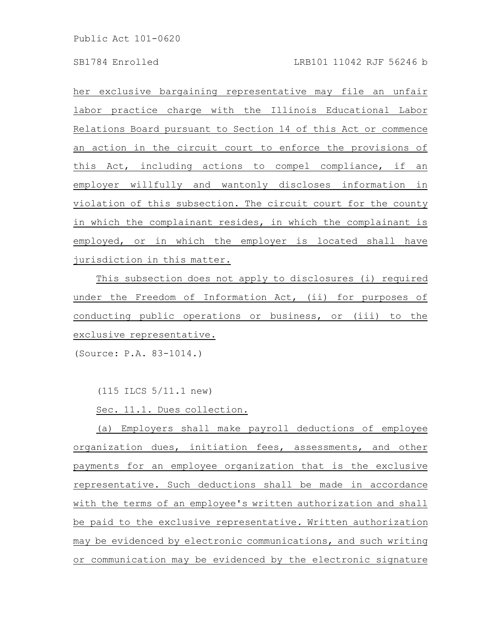her exclusive bargaining representative may file an unfair labor practice charge with the Illinois Educational Labor Relations Board pursuant to Section 14 of this Act or commence an action in the circuit court to enforce the provisions of this Act, including actions to compel compliance, if an employer willfully and wantonly discloses information in violation of this subsection. The circuit court for the county in which the complainant resides, in which the complainant is employed, or in which the employer is located shall have jurisdiction in this matter.

This subsection does not apply to disclosures (i) required under the Freedom of Information Act, (ii) for purposes of conducting public operations or business, or (iii) to the exclusive representative.

(Source: P.A. 83-1014.)

(115 ILCS 5/11.1 new)

Sec. 11.1. Dues collection.

(a) Employers shall make payroll deductions of employee organization dues, initiation fees, assessments, and other payments for an employee organization that is the exclusive representative. Such deductions shall be made in accordance with the terms of an employee's written authorization and shall be paid to the exclusive representative. Written authorization may be evidenced by electronic communications, and such writing or communication may be evidenced by the electronic signature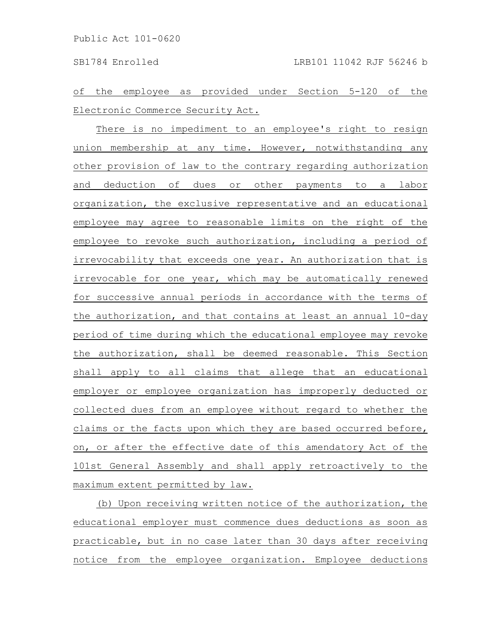of the employee as provided under Section 5-120 of the Electronic Commerce Security Act.

There is no impediment to an employee's right to resign union membership at any time. However, notwithstanding any other provision of law to the contrary regarding authorization and deduction of dues or other payments to a labor organization, the exclusive representative and an educational employee may agree to reasonable limits on the right of the employee to revoke such authorization, including a period of irrevocability that exceeds one year. An authorization that is irrevocable for one year, which may be automatically renewed for successive annual periods in accordance with the terms of the authorization, and that contains at least an annual 10-day period of time during which the educational employee may revoke the authorization, shall be deemed reasonable. This Section shall apply to all claims that allege that an educational employer or employee organization has improperly deducted or collected dues from an employee without regard to whether the claims or the facts upon which they are based occurred before, on, or after the effective date of this amendatory Act of the 101st General Assembly and shall apply retroactively to the maximum extent permitted by law.

(b) Upon receiving written notice of the authorization, the educational employer must commence dues deductions as soon as practicable, but in no case later than 30 days after receiving notice from the employee organization. Employee deductions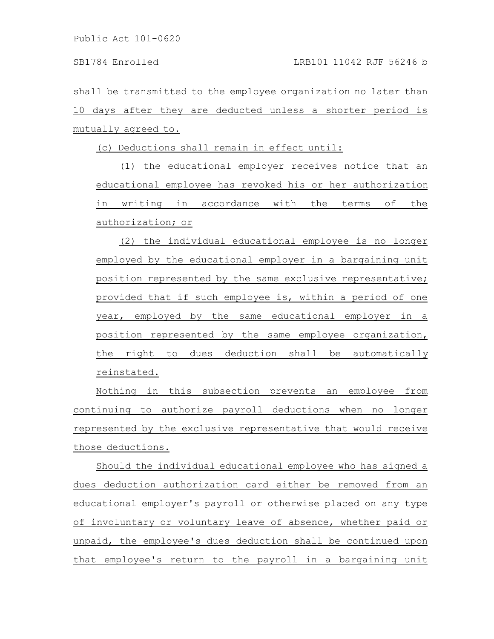shall be transmitted to the employee organization no later than 10 days after they are deducted unless a shorter period is mutually agreed to.

(c) Deductions shall remain in effect until:

(1) the educational employer receives notice that an educational employee has revoked his or her authorization in writing in accordance with the terms of the authorization; or

(2) the individual educational employee is no longer employed by the educational employer in a bargaining unit position represented by the same exclusive representative; provided that if such employee is, within a period of one year, employed by the same educational employer in a position represented by the same employee organization, the right to dues deduction shall be automatically reinstated.

Nothing in this subsection prevents an employee from continuing to authorize payroll deductions when no longer represented by the exclusive representative that would receive those deductions.

Should the individual educational employee who has signed a dues deduction authorization card either be removed from an educational employer's payroll or otherwise placed on any type of involuntary or voluntary leave of absence, whether paid or unpaid, the employee's dues deduction shall be continued upon that employee's return to the payroll in a bargaining unit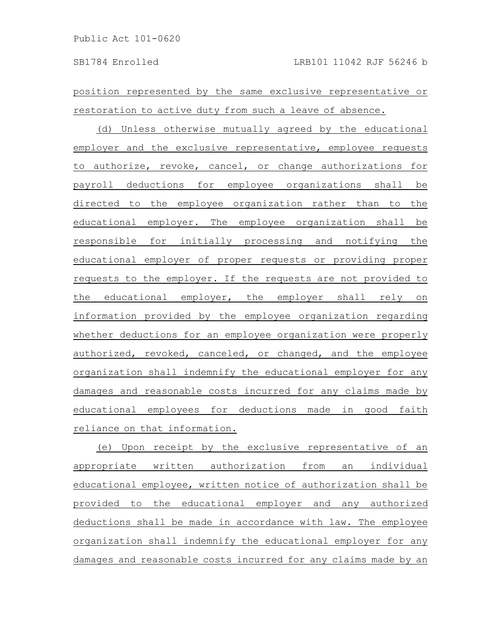position represented by the same exclusive representative or restoration to active duty from such a leave of absence.

(d) Unless otherwise mutually agreed by the educational employer and the exclusive representative, employee requests to authorize, revoke, cancel, or change authorizations for payroll deductions for employee organizations shall be directed to the employee organization rather than to the educational employer. The employee organization shall be responsible for initially processing and notifying the educational employer of proper requests or providing proper requests to the employer. If the requests are not provided to the educational employer, the employer shall rely on information provided by the employee organization regarding whether deductions for an employee organization were properly authorized, revoked, canceled, or changed, and the employee organization shall indemnify the educational employer for any damages and reasonable costs incurred for any claims made by educational employees for deductions made in good faith reliance on that information.

(e) Upon receipt by the exclusive representative of an appropriate written authorization from an individual educational employee, written notice of authorization shall be provided to the educational employer and any authorized deductions shall be made in accordance with law. The employee organization shall indemnify the educational employer for any damages and reasonable costs incurred for any claims made by an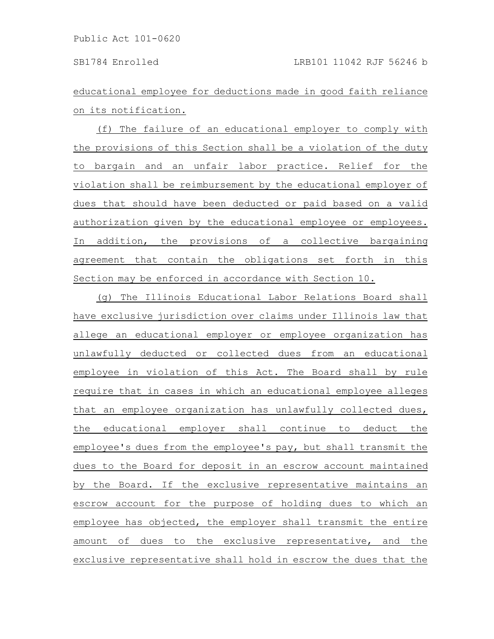educational employee for deductions made in good faith reliance on its notification.

(f) The failure of an educational employer to comply with the provisions of this Section shall be a violation of the duty to bargain and an unfair labor practice. Relief for the violation shall be reimbursement by the educational employer of dues that should have been deducted or paid based on a valid authorization given by the educational employee or employees. In addition, the provisions of a collective bargaining agreement that contain the obligations set forth in this Section may be enforced in accordance with Section 10.

(g) The Illinois Educational Labor Relations Board shall have exclusive jurisdiction over claims under Illinois law that allege an educational employer or employee organization has unlawfully deducted or collected dues from an educational employee in violation of this Act. The Board shall by rule require that in cases in which an educational employee alleges that an employee organization has unlawfully collected dues, the educational employer shall continue to deduct the employee's dues from the employee's pay, but shall transmit the dues to the Board for deposit in an escrow account maintained by the Board. If the exclusive representative maintains an escrow account for the purpose of holding dues to which an employee has objected, the employer shall transmit the entire amount of dues to the exclusive representative, and the exclusive representative shall hold in escrow the dues that the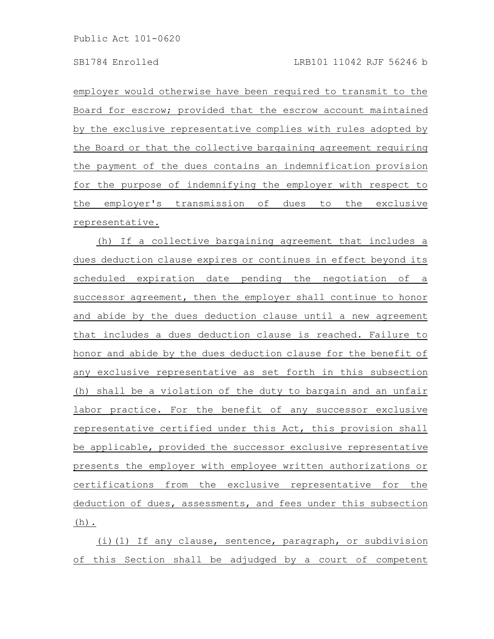employer would otherwise have been required to transmit to the Board for escrow; provided that the escrow account maintained by the exclusive representative complies with rules adopted by the Board or that the collective bargaining agreement requiring the payment of the dues contains an indemnification provision for the purpose of indemnifying the employer with respect to the employer's transmission of dues to the exclusive representative.

(h) If a collective bargaining agreement that includes a dues deduction clause expires or continues in effect beyond its scheduled expiration date pending the negotiation of a successor agreement, then the employer shall continue to honor and abide by the dues deduction clause until a new agreement that includes a dues deduction clause is reached. Failure to honor and abide by the dues deduction clause for the benefit of any exclusive representative as set forth in this subsection (h) shall be a violation of the duty to bargain and an unfair labor practice. For the benefit of any successor exclusive representative certified under this Act, this provision shall be applicable, provided the successor exclusive representative presents the employer with employee written authorizations or certifications from the exclusive representative for the deduction of dues, assessments, and fees under this subsection (h).

(i)(1) If any clause, sentence, paragraph, or subdivision of this Section shall be adjudged by a court of competent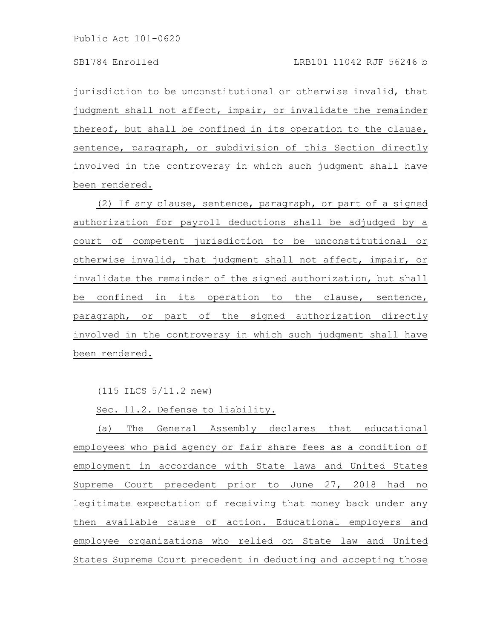jurisdiction to be unconstitutional or otherwise invalid, that judgment shall not affect, impair, or invalidate the remainder thereof, but shall be confined in its operation to the clause, sentence, paragraph, or subdivision of this Section directly involved in the controversy in which such judgment shall have been rendered.

(2) If any clause, sentence, paragraph, or part of a signed authorization for payroll deductions shall be adjudged by a court of competent jurisdiction to be unconstitutional or otherwise invalid, that judgment shall not affect, impair, or invalidate the remainder of the signed authorization, but shall be confined in its operation to the clause, sentence, paragraph, or part of the signed authorization directly involved in the controversy in which such judgment shall have been rendered.

(115 ILCS 5/11.2 new)

Sec. 11.2. Defense to liability.

(a) The General Assembly declares that educational employees who paid agency or fair share fees as a condition of employment in accordance with State laws and United States Supreme Court precedent prior to June 27, 2018 had no legitimate expectation of receiving that money back under any then available cause of action. Educational employers and employee organizations who relied on State law and United States Supreme Court precedent in deducting and accepting those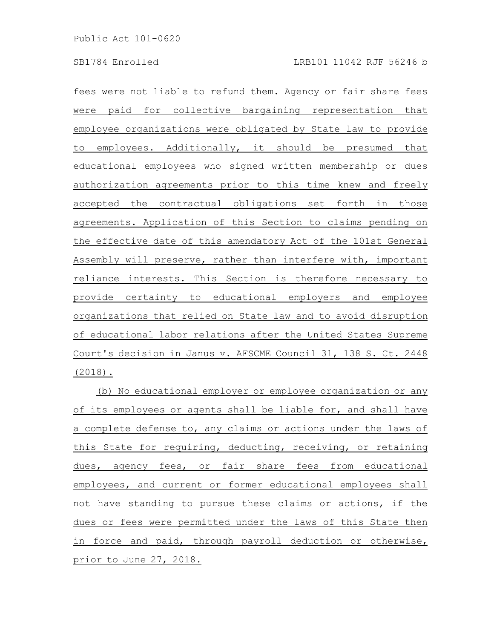fees were not liable to refund them. Agency or fair share fees were paid for collective bargaining representation that employee organizations were obligated by State law to provide to employees. Additionally, it should be presumed that educational employees who signed written membership or dues authorization agreements prior to this time knew and freely accepted the contractual obligations set forth in those agreements. Application of this Section to claims pending on the effective date of this amendatory Act of the 101st General Assembly will preserve, rather than interfere with, important reliance interests. This Section is therefore necessary to provide certainty to educational employers and employee organizations that relied on State law and to avoid disruption of educational labor relations after the United States Supreme Court's decision in Janus v. AFSCME Council 31, 138 S. Ct. 2448 (2018).

(b) No educational employer or employee organization or any of its employees or agents shall be liable for, and shall have a complete defense to, any claims or actions under the laws of this State for requiring, deducting, receiving, or retaining dues, agency fees, or fair share fees from educational employees, and current or former educational employees shall not have standing to pursue these claims or actions, if the dues or fees were permitted under the laws of this State then in force and paid, through payroll deduction or otherwise, prior to June 27, 2018.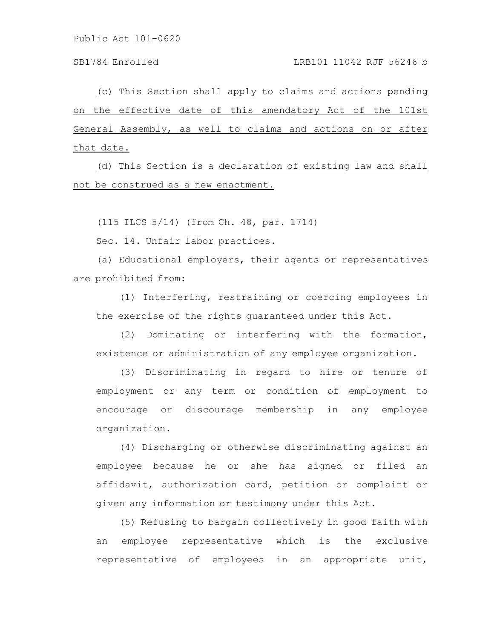### SB1784 Enrolled LRB101 11042 RJF 56246 b

(c) This Section shall apply to claims and actions pending on the effective date of this amendatory Act of the 101st General Assembly, as well to claims and actions on or after that date.

(d) This Section is a declaration of existing law and shall not be construed as a new enactment.

(115 ILCS 5/14) (from Ch. 48, par. 1714)

Sec. 14. Unfair labor practices.

(a) Educational employers, their agents or representatives are prohibited from:

(1) Interfering, restraining or coercing employees in the exercise of the rights guaranteed under this Act.

(2) Dominating or interfering with the formation, existence or administration of any employee organization.

(3) Discriminating in regard to hire or tenure of employment or any term or condition of employment to encourage or discourage membership in any employee organization.

(4) Discharging or otherwise discriminating against an employee because he or she has signed or filed an affidavit, authorization card, petition or complaint or given any information or testimony under this Act.

(5) Refusing to bargain collectively in good faith with an employee representative which is the exclusive representative of employees in an appropriate unit,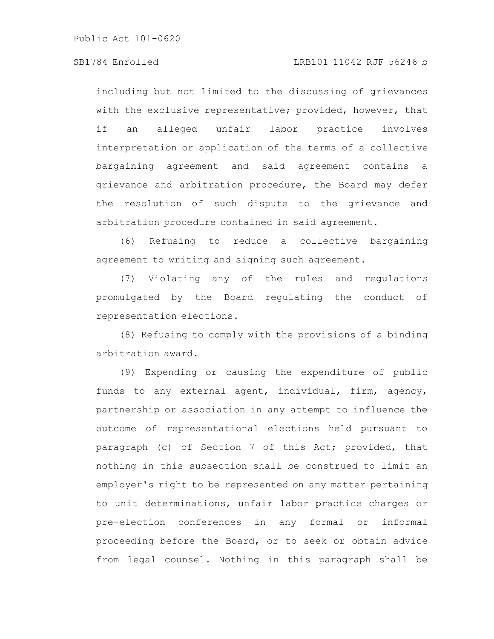## SB1784 Enrolled LRB101 11042 RJF 56246 b

including but not limited to the discussing of grievances with the exclusive representative; provided, however, that if an alleged unfair labor practice involves interpretation or application of the terms of a collective bargaining agreement and said agreement contains a grievance and arbitration procedure, the Board may defer the resolution of such dispute to the grievance and arbitration procedure contained in said agreement.

(6) Refusing to reduce a collective bargaining agreement to writing and signing such agreement.

(7) Violating any of the rules and regulations promulgated by the Board regulating the conduct of representation elections.

(8) Refusing to comply with the provisions of a binding arbitration award.

(9) Expending or causing the expenditure of public funds to any external agent, individual, firm, agency, partnership or association in any attempt to influence the outcome of representational elections held pursuant to paragraph (c) of Section 7 of this Act; provided, that nothing in this subsection shall be construed to limit an employer's right to be represented on any matter pertaining to unit determinations, unfair labor practice charges or pre-election conferences in any formal or informal proceeding before the Board, or to seek or obtain advice from legal counsel. Nothing in this paragraph shall be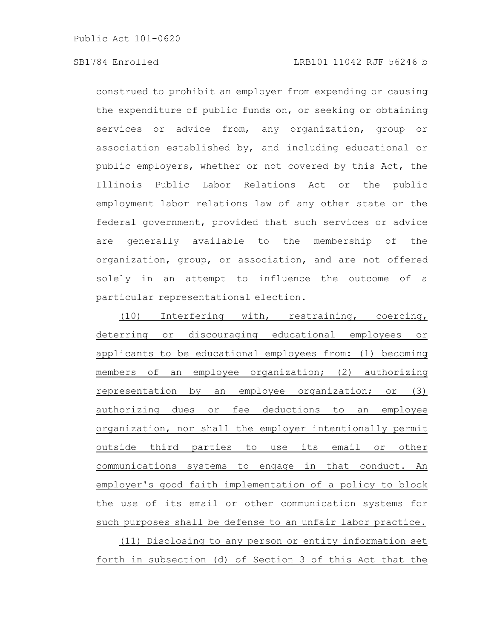## SB1784 Enrolled LRB101 11042 RJF 56246 b

construed to prohibit an employer from expending or causing the expenditure of public funds on, or seeking or obtaining services or advice from, any organization, group or association established by, and including educational or public employers, whether or not covered by this Act, the Illinois Public Labor Relations Act or the public employment labor relations law of any other state or the federal government, provided that such services or advice are generally available to the membership of the organization, group, or association, and are not offered solely in an attempt to influence the outcome of a particular representational election.

(10) Interfering with, restraining, coercing, deterring or discouraging educational employees or applicants to be educational employees from: (1) becoming members of an employee organization; (2) authorizing representation by an employee organization; or (3) authorizing dues or fee deductions to an employee organization, nor shall the employer intentionally permit outside third parties to use its email or other communications systems to engage in that conduct. An employer's good faith implementation of a policy to block the use of its email or other communication systems for such purposes shall be defense to an unfair labor practice. (11) Disclosing to any person or entity information set

forth in subsection (d) of Section 3 of this Act that the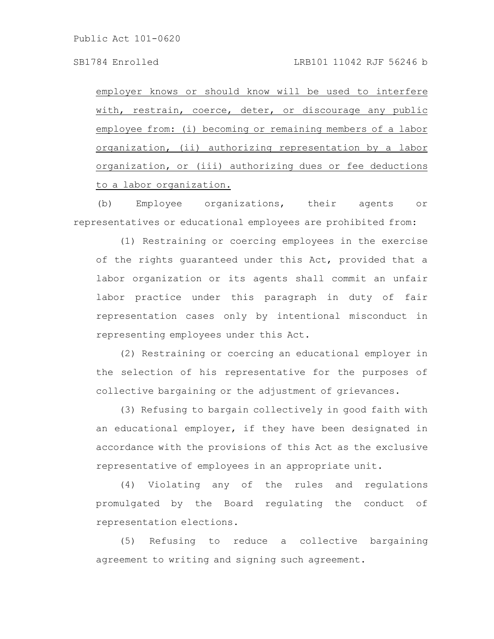employer knows or should know will be used to interfere with, restrain, coerce, deter, or discourage any public employee from: (i) becoming or remaining members of a labor organization, (ii) authorizing representation by a labor organization, or (iii) authorizing dues or fee deductions to a labor organization.

(b) Employee organizations, their agents or representatives or educational employees are prohibited from:

(1) Restraining or coercing employees in the exercise of the rights guaranteed under this Act, provided that a labor organization or its agents shall commit an unfair labor practice under this paragraph in duty of fair representation cases only by intentional misconduct in representing employees under this Act.

(2) Restraining or coercing an educational employer in the selection of his representative for the purposes of collective bargaining or the adjustment of grievances.

(3) Refusing to bargain collectively in good faith with an educational employer, if they have been designated in accordance with the provisions of this Act as the exclusive representative of employees in an appropriate unit.

(4) Violating any of the rules and regulations promulgated by the Board regulating the conduct of representation elections.

(5) Refusing to reduce a collective bargaining agreement to writing and signing such agreement.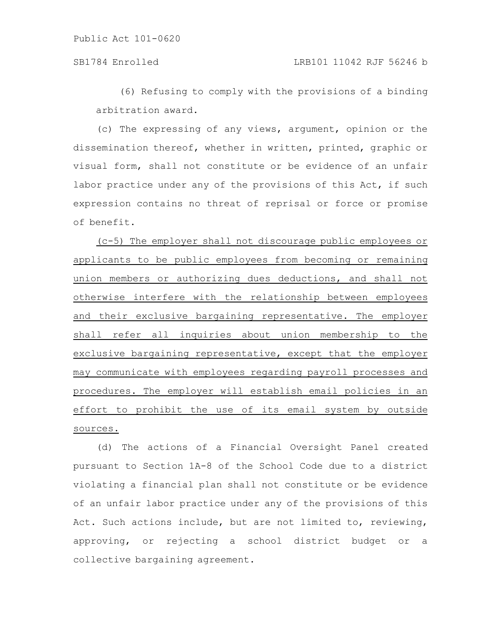(6) Refusing to comply with the provisions of a binding arbitration award.

(c) The expressing of any views, argument, opinion or the dissemination thereof, whether in written, printed, graphic or visual form, shall not constitute or be evidence of an unfair labor practice under any of the provisions of this Act, if such expression contains no threat of reprisal or force or promise of benefit.

(c-5) The employer shall not discourage public employees or applicants to be public employees from becoming or remaining union members or authorizing dues deductions, and shall not otherwise interfere with the relationship between employees and their exclusive bargaining representative. The employer shall refer all inquiries about union membership to the exclusive bargaining representative, except that the employer may communicate with employees regarding payroll processes and procedures. The employer will establish email policies in an effort to prohibit the use of its email system by outside sources.

(d) The actions of a Financial Oversight Panel created pursuant to Section 1A-8 of the School Code due to a district violating a financial plan shall not constitute or be evidence of an unfair labor practice under any of the provisions of this Act. Such actions include, but are not limited to, reviewing, approving, or rejecting a school district budget or a collective bargaining agreement.